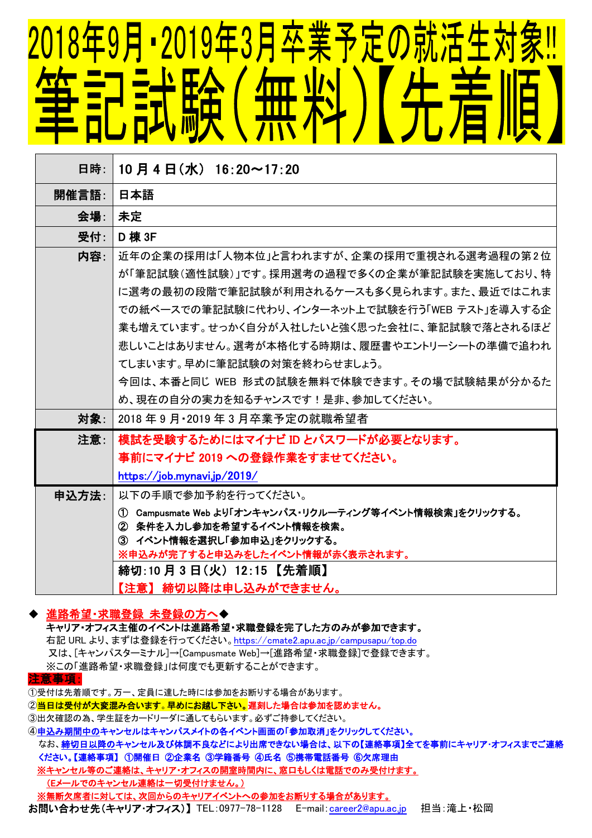## <u> 2018年9月 • 2019年3月卒業予定の就活生</u> 無料 三十<br>三十<br>二十<br>二十二

| 日時:   | 10月4日(水) 16:20~17:20                                           |
|-------|----------------------------------------------------------------|
| 開催言語: | 日本語                                                            |
| 会場.   | 未定                                                             |
| 受付:   | D 棟 3F                                                         |
| 内容.   | 近年の企業の採用は「人物本位」と言われますが、企業の採用で重視される選考過程の第2位                     |
|       | が「筆記試験(適性試験)」です。採用選考の過程で多くの企業が筆記試験を実施しており、特                    |
|       | に選考の最初の段階で筆記試験が利用されるケースも多く見られます。また、最近ではこれま                     |
|       | での紙ベースでの筆記試験に代わり、インターネット上で試験を行う「WEB テスト」を導入する企                 |
|       | 業も増えています。せっかく自分が入社したいと強く思った会社に、筆記試験で落とされるほど                    |
|       | 悲しいことはありません。選考が本格化する時期は、履歴書やエントリーシートの準備で追われ                    |
|       | てしまいます。早めに筆記試験の対策を終わらせましょう。                                    |
|       | 今回は、本番と同じ WEB 形式の試験を無料で体験できます。その場で試験結果が分かるた                    |
|       | め、現在の自分の実力を知るチャンスです!是非、参加してください。                               |
| 対象∶   | 2018年9月・2019年3月卒業予定の就職希望者                                      |
| 注意∶   | 模試を受験するためにはマイナビ ID とパスワードが必要となります。                             |
|       | 事前にマイナビ 2019 への登録作業をすませてください。                                  |
|       | https://job.mynavi.jp/2019/                                    |
| 申込方法: | 以下の手順で参加予約を行ってください。                                            |
|       | ① Campusmate Web より「オンキャンパス・リクルーティング等イベント情報検索」をクリックする。         |
|       | ② 条件を入力し参加を希望するイベント情報を検索。                                      |
|       | ③ イベント情報を選択し「参加申込」をクリックする。<br>※申込みが完了すると申込みをしたイベント情報が赤く表示されます。 |
|       | 締切:10 月 3 日(火) 12:15 【先着順】                                     |
|       | 【注意】 締切以降は申し込みができません。                                          |

## 進路希望・求職登録 未登録の方へ◆

キャリア・オフィス主催のイベントは進路希望・求職登録を完了した方のみが参加できます。 右記 URL より、まずは登録を行ってください。<https://cmate2.apu.ac.jp/campusapu/top.do> 又は、[キャンパスターミナル]→[Campusmate Web]→[進路希望・求職登録]で登録できます。 ※この「進路希望・求職登録」は何度でも更新することができます。

注意事項:

①受付は先着順です。万一、定員に達した時には参加をお断りする場合があります。

②<mark>当日は受付が大変混み合います。早めにお越し下さい。</mark>遅刻した場合は参加を認めません。

- ③出欠確認の為、学生証をカードリーダに通してもらいます。必ずご持参してください。
- ④申込み期間中のキャンセルはキャンパスメイトの各イベント画面の「参加取消」をクリックしてください。
- なお、締切日以降のキャンセル及び体調不良などにより出席できない場合は、以下の【連絡事項】全てを事前にキャリア・オフィスまでご連絡 ください。【連絡事項】 ①開催日 ②企業名 ③学籍番号 ④氏名 ⑤携帯電話番号 ⑥欠席理由

※キャンセル等のご連絡は、キャリア・オフィスの開室時間内に、窓口もしくは電話でのみ受付けます。

(Eメールでのキャンセル連絡は一切受付けません。)

※無断欠席者に対しては、次回からのキャリアイベントへの参加をお断りする場合があります。

お問い合わせ先(キャリア·オフィス)】 TEL:0977-78-1128 E-mail:[career2@apu.ac.jp](mailto:career2@apu.ac.jp) 担当:滝上·松岡